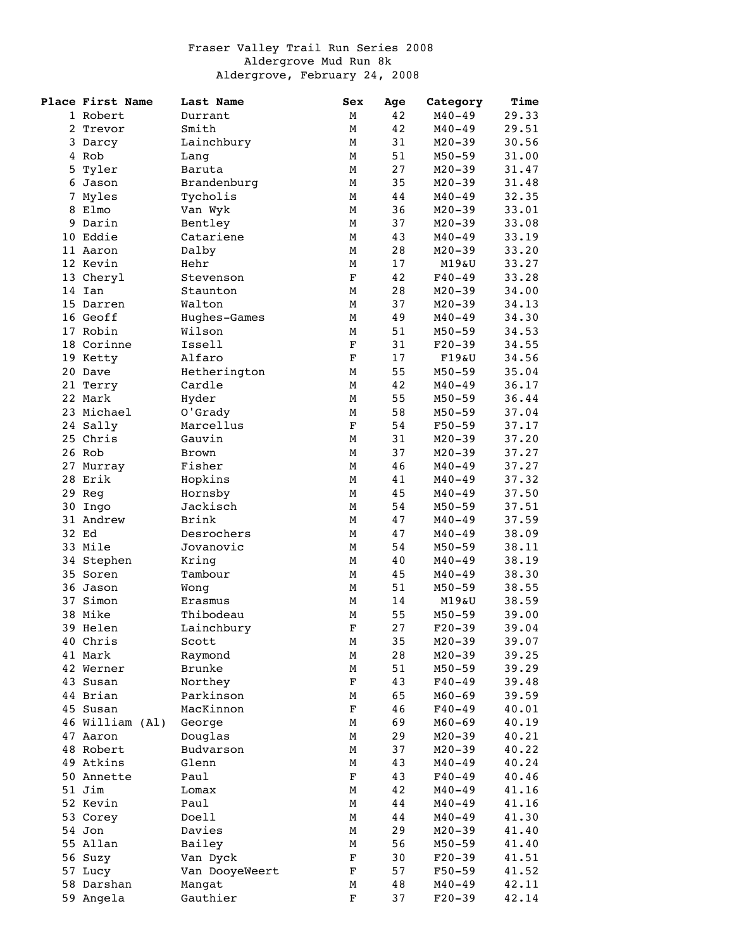## Fraser Valley Trail Run Series 2008 Aldergrove Mud Run 8k Aldergrove, February 24, 2008

|   | Place First Name       | Last Name            | Sex         | Age      | Category               | Time           |
|---|------------------------|----------------------|-------------|----------|------------------------|----------------|
|   | 1 Robert               | Durrant              | М           | 42       | $M40 - 49$             | 29.33          |
|   | 2 Trevor               | Smith                | М           | 42       | $M40 - 49$             | 29.51          |
|   | 3 Darcy                | Lainchbury           | М           | 31       | $M20 - 39$             | 30.56          |
|   | 4 Rob                  | Lang                 | М           | 51       | $M50 - 59$             | 31.00          |
|   | 5 Tyler                | Baruta               | М           | 27       | $M20 - 39$             | 31.47          |
|   | 6 Jason                | Brandenburg          | М           | 35       | $M20 - 39$             | 31.48          |
| 7 | Myles                  | Tycholis             | М           | 44       | $M40 - 49$             | 32.35          |
|   | 8 Elmo                 | Van Wyk              | М           | 36       | $M20 - 39$             | 33.01          |
|   | 9 Darin                | Bentley              | М           | 37       | $M20 - 39$             | 33.08          |
|   | 10 Eddie               | Catariene            | М           | 43       | $M40 - 49$             | 33.19          |
|   | 11 Aaron               | Dalby                | М           | 28       | $M20 - 39$             | 33.20          |
|   | 12 Kevin               | Hehr                 | М           | 17       | M19&U                  | 33.27          |
|   | 13 Cheryl              | Stevenson            | $\mathbf F$ | 42       | $F40 - 49$             | 33.28          |
|   | 14 Ian                 | Staunton             | М           | 28       | $M20 - 39$             | 34.00          |
|   | 15 Darren              | Walton               | М           | 37       | $M20 - 39$             | 34.13          |
|   | 16 Geoff               | Hughes-Games         | М           | 49       | $M40 - 49$             | 34.30          |
|   | 17 Robin               | Wilson               | М           | 51       | $M50 - 59$             | 34.53          |
|   | 18 Corinne             | Issell               | $\mathbf F$ | 31       | $F20-39$               | 34.55          |
|   | 19 Ketty               | Alfaro               | $\mathbf F$ | 17       | F19&U                  | 34.56          |
|   | 20 Dave                | Hetherington         | М           | 55       | $M50 - 59$             | 35.04          |
|   | 21 Terry               | Cardle               | М           | 42       | $M40 - 49$             | 36.17          |
|   | 22 Mark                | Hyder                | М           | 55       | $M50 - 59$             | 36.44          |
|   | 23 Michael             | O'Grady              | М           | 58       | $M50 - 59$             | 37.04          |
|   | 24 Sally               | Marcellus            | $\mathbf F$ | 54       | $F50 - 59$             | 37.17          |
|   | 25 Chris               | Gauvin               | М           | 31       | $M20 - 39$             | 37.20          |
|   | 26 Rob                 | Brown                | М           | 37       | $M20 - 39$             | 37.27          |
|   | 27 Murray              | Fisher               | М           | 46       | $M40 - 49$             | 37.27          |
|   | 28 Erik                | Hopkins              | М           | 41       | $M40 - 49$             | 37.32          |
|   | 29 Reg                 | Hornsby              | М           | 45       | $M40 - 49$             | 37.50          |
|   | 30 Ingo                | Jackisch             | М           | 54       | $M50 - 59$             | 37.51          |
|   | 31 Andrew              | Brink                | М           | 47       | $M40 - 49$             | 37.59          |
|   | 32 Ed                  | Desrochers           | М           | 47       | $M40 - 49$             | 38.09          |
|   | 33 Mile                | Jovanovic            | М           | 54       | $M50 - 59$             | 38.11          |
|   | 34 Stephen<br>35 Soren | Kring                | М           | 40       | $M40 - 49$             | 38.19          |
|   | 36 Jason               | Tambour              | М           | 45       | $M40 - 49$             | 38.30<br>38.55 |
|   | 37 Simon               | Wong                 | М<br>М      | 51<br>14 | $M50 - 59$<br>M19&U    | 38.59          |
|   | 38 Mike                | Erasmus<br>Thibodeau | М           | 55       |                        | 39.00          |
|   |                        |                      | F           | 27       | $M50 - 59$             | 39.04          |
|   | 39 Helen               | Lainchbury           |             | 35       | $F20-39$<br>$M20 - 39$ | 39.07          |
|   | 40 Chris<br>41 Mark    | Scott<br>Raymond     | Μ<br>М      | 28       | $M20 - 39$             | 39.25          |
|   | 42 Werner              | Brunke               | М           | 51       | $M50 - 59$             | 39.29          |
|   | 43 Susan               | Northey              | $\mathbf F$ | 43       | $F40 - 49$             | 39.48          |
|   | 44 Brian               | Parkinson            | М           | 65       | $M60 - 69$             | 39.59          |
|   | 45 Susan               | MacKinnon            | $\mathbf F$ | 46       | $F40 - 49$             | 40.01          |
|   | 46 William (Al)        | George               | М           | 69       | $M60 - 69$             | 40.19          |
|   | 47 Aaron               | Douglas              | М           | 29       | $M20 - 39$             | 40.21          |
|   | 48 Robert              | Budvarson            | М           | 37       | $M20 - 39$             | 40.22          |
|   | 49 Atkins              | Glenn                | М           | 43       | $M40 - 49$             | 40.24          |
|   | 50 Annette             | Paul                 | $\mathbf F$ | 43       | $F40 - 49$             | 40.46          |
|   | 51 Jim                 | Lomax                | М           | 42       | $M40 - 49$             | 41.16          |
|   | 52 Kevin               | Paul                 | М           | 44       | $M40 - 49$             | 41.16          |
|   | 53 Corey               | Doell                | М           | 44       | $M40 - 49$             | 41.30          |
|   | 54 Jon                 | Davies               | М           | 29       | $M20 - 39$             | 41.40          |
|   | 55 Allan               | Bailey               | М           | 56       | $M50 - 59$             | 41.40          |
|   | 56 Suzy                | Van Dyck             | F           | 30       | $F20-39$               | 41.51          |
|   | 57 Lucy                | Van DooyeWeert       | F           | 57       | $F50 - 59$             | 41.52          |
|   | 58 Darshan             | Mangat               | М           | 48       | $M40 - 49$             | 42.11          |
|   | 59 Angela              | Gauthier             | F           | 37       | $F20-39$               | 42.14          |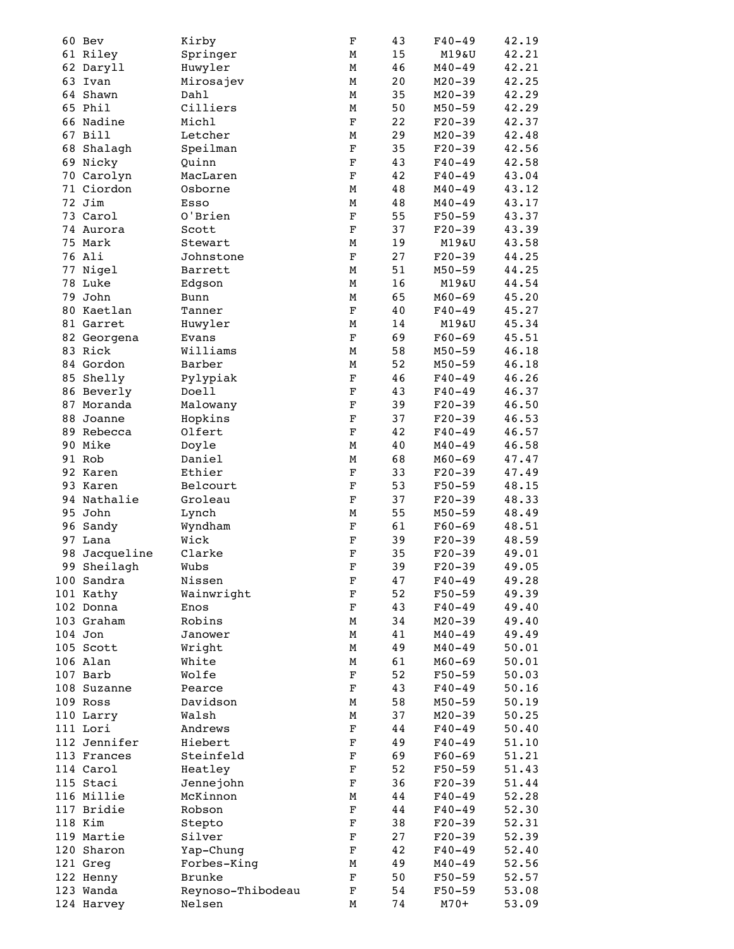|    | 60 Bev       | Kirby             | F                       | 43 | $F40 - 49$ | 42.19 |
|----|--------------|-------------------|-------------------------|----|------------|-------|
|    | 61 Riley     | Springer          | М                       | 15 | M19&U      | 42.21 |
|    | 62 Daryll    | Huwyler           | М                       | 46 | $M40 - 49$ | 42.21 |
|    | 63 Ivan      | Mirosajev         | М                       | 20 | $M20 - 39$ | 42.25 |
|    | 64 Shawn     | Dahl              | М                       | 35 | $M20 - 39$ | 42.29 |
|    | 65 Phil      | Cilliers          | М                       | 50 | $M50 - 59$ | 42.29 |
|    | 66 Nadine    | Michl             | $\mathbf F$             | 22 | $F20-39$   | 42.37 |
|    | 67 Bill      | Letcher           | М                       | 29 | $M20 - 39$ | 42.48 |
|    | 68 Shalagh   | Speilman          | $\mathbf F$             | 35 | $F20-39$   | 42.56 |
|    | 69 Nicky     | Quinn             | $\mathbf F$             | 43 | $F40 - 49$ | 42.58 |
|    | 70 Carolyn   | MacLaren          | $\mathbf F$             | 42 |            | 43.04 |
|    |              |                   |                         |    | $F40 - 49$ |       |
|    | 71 Ciordon   | Osborne           | М                       | 48 | $M40 - 49$ | 43.12 |
|    | 72 Jim       | Esso              | М                       | 48 | $M40 - 49$ | 43.17 |
|    | 73 Carol     | O'Brien           | $\mathbf F$             | 55 | $F50 - 59$ | 43.37 |
|    | 74 Aurora    | Scott             | $\mathbf F$             | 37 | $F20-39$   | 43.39 |
|    | 75 Mark      | Stewart           | М                       | 19 | M19&U      | 43.58 |
|    | 76 Ali       | Johnstone         | $\mathbf F$             | 27 | $F20 - 39$ | 44.25 |
|    | 77 Nigel     | Barrett           | М                       | 51 | $M50 - 59$ | 44.25 |
|    | 78 Luke      | Edgson            | М                       | 16 | M19&U      | 44.54 |
|    | 79 John      | Bunn              | М                       | 65 | $M60 - 69$ | 45.20 |
|    | 80 Kaetlan   | Tanner            | $\mathbf F$             | 40 | $F40 - 49$ | 45.27 |
|    | 81 Garret    | Huwyler           | М                       | 14 | M19&U      | 45.34 |
|    | 82 Georgena  | Evans             | $\mathbf F$             | 69 | $F60 - 69$ | 45.51 |
|    | 83 Rick      | Williams          | М                       | 58 | $M50 - 59$ | 46.18 |
|    | 84 Gordon    | Barber            | М                       | 52 | $M50 - 59$ | 46.18 |
|    | 85 Shelly    | Pylypiak          | $\mathbf F$             | 46 | $F40 - 49$ | 46.26 |
|    | 86 Beverly   | Doell             | $\mathbf F$             | 43 | $F40 - 49$ | 46.37 |
|    |              |                   |                         |    |            |       |
|    | 87 Moranda   | Malowany          | $\mathbf F$             | 39 | $F20-39$   | 46.50 |
|    | 88 Joanne    | Hopkins           | F                       | 37 | $F20-39$   | 46.53 |
|    | 89 Rebecca   | Olfert            | $\mathbf F$             | 42 | $F40 - 49$ | 46.57 |
|    | 90 Mike      | Doyle             | М                       | 40 | $M40 - 49$ | 46.58 |
|    | 91 Rob       | Daniel            | М                       | 68 | $M60 - 69$ | 47.47 |
|    | 92 Karen     | Ethier            | $\mathbf F$             | 33 | $F20-39$   | 47.49 |
|    | 93 Karen     | Belcourt          | $\mathbf F$             | 53 | $F50 - 59$ | 48.15 |
|    | 94 Nathalie  | Groleau           | $\mathbf F$             | 37 | $F20 - 39$ | 48.33 |
|    | 95 John      | Lynch             | M                       | 55 | $M50 - 59$ | 48.49 |
|    | 96 Sandy     | Wyndham           | $\mathbf F$             | 61 | $F60 - 69$ | 48.51 |
|    | 97 Lana      | Wick              | $\mathbf F$             | 39 | $F20-39$   | 48.59 |
| 98 | Jacqueline   | Clarke            | $\mathbf F$             | 35 | $F20-39$   | 49.01 |
|    | 99 Sheilagh  | Wubs              | $\overline{\mathrm{F}}$ | 39 | $F20 - 39$ | 49.05 |
|    | 100 Sandra   | Nissen            | F                       | 47 | $F40 - 49$ | 49.28 |
|    | 101 Kathy    |                   |                         | 52 |            |       |
|    |              | Wainwright        | $\mathbf F$             |    | $F50 - 59$ | 49.39 |
|    | 102 Donna    | Enos              | $\mathbf F$             | 43 | $F40 - 49$ | 49.40 |
|    | 103 Graham   | Robins            | М                       | 34 | $M20 - 39$ | 49.40 |
|    | 104 Jon      | Janower           | М                       | 41 | $M40 - 49$ | 49.49 |
|    | 105 Scott    | Wright            | М                       | 49 | $M40 - 49$ | 50.01 |
|    | 106 Alan     | White             | М                       | 61 | $M60 - 69$ | 50.01 |
|    | 107 Barb     | Wolfe             | $\mathbf F$             | 52 | $F50 - 59$ | 50.03 |
|    | 108 Suzanne  | Pearce            | $\mathbf F$             | 43 | $F40 - 49$ | 50.16 |
|    | 109 Ross     | Davidson          | М                       | 58 | $M50 - 59$ | 50.19 |
|    | 110 Larry    | Walsh             | М                       | 37 | $M20 - 39$ | 50.25 |
|    | 111 Lori     | Andrews           | $\mathbf F$             | 44 | $F40 - 49$ | 50.40 |
|    | 112 Jennifer | Hiebert           | F                       | 49 | $F40 - 49$ | 51.10 |
|    | 113 Frances  | Steinfeld         | $\mathbf F$             | 69 | $F60-69$   | 51.21 |
|    | 114 Carol    | Heatley           | $\mathbf F$             | 52 | $F50 - 59$ | 51.43 |
|    | 115 Staci    | Jennejohn         | $\mathbf F$             | 36 | $F20-39$   | 51.44 |
|    | 116 Millie   | McKinnon          | М                       | 44 | $F40 - 49$ | 52.28 |
|    |              |                   |                         |    |            |       |
|    | 117 Bridie   | Robson            | $\mathbf F$             | 44 | $F40 - 49$ | 52.30 |
|    | 118 Kim      | Stepto            | $\mathbf F$             | 38 | $F20-39$   | 52.31 |
|    | 119 Martie   | Silver            | $\mathbf F$             | 27 | $F20-39$   | 52.39 |
|    | 120 Sharon   | Yap-Chung         | F                       | 42 | $F40 - 49$ | 52.40 |
|    | 121 Greg     | Forbes-King       | М                       | 49 | $M40 - 49$ | 52.56 |
|    | 122 Henny    | Brunke            | $\mathbf F$             | 50 | $F50 - 59$ | 52.57 |
|    | 123 Wanda    | Reynoso-Thibodeau | $\mathbf F$             | 54 | F50-59     | 53.08 |
|    | 124 Harvey   | Nelsen            | М                       | 74 | $M70+$     | 53.09 |